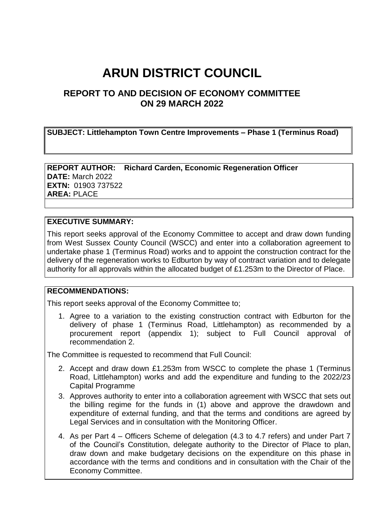# **ARUN DISTRICT COUNCIL**

# **REPORT TO AND DECISION OF ECONOMY COMMITTEE ON 29 MARCH 2022**

**SUBJECT: Littlehampton Town Centre Improvements – Phase 1 (Terminus Road)**

**REPORT AUTHOR: Richard Carden, Economic Regeneration Officer DATE:** March 2022 **EXTN:** 01903 737522 **AREA:** PLACE

#### **EXECUTIVE SUMMARY:**

This report seeks approval of the Economy Committee to accept and draw down funding from West Sussex County Council (WSCC) and enter into a collaboration agreement to undertake phase 1 (Terminus Road) works and to appoint the construction contract for the delivery of the regeneration works to Edburton by way of contract variation and to delegate authority for all approvals within the allocated budget of £1.253m to the Director of Place.

#### **RECOMMENDATIONS:**

This report seeks approval of the Economy Committee to;

1. Agree to a variation to the existing construction contract with Edburton for the delivery of phase 1 (Terminus Road, Littlehampton) as recommended by a procurement report (appendix 1); subject to Full Council approval of recommendation 2.

The Committee is requested to recommend that Full Council:

- 2. Accept and draw down £1.253m from WSCC to complete the phase 1 (Terminus Road, Littlehampton) works and add the expenditure and funding to the 2022/23 Capital Programme
- 3. Approves authority to enter into a collaboration agreement with WSCC that sets out the billing regime for the funds in (1) above and approve the drawdown and expenditure of external funding, and that the terms and conditions are agreed by Legal Services and in consultation with the Monitoring Officer.
- 4. As per Part 4 Officers Scheme of delegation (4.3 to 4.7 refers) and under Part 7 of the Council's Constitution, delegate authority to the Director of Place to plan, draw down and make budgetary decisions on the expenditure on this phase in accordance with the terms and conditions and in consultation with the Chair of the Economy Committee.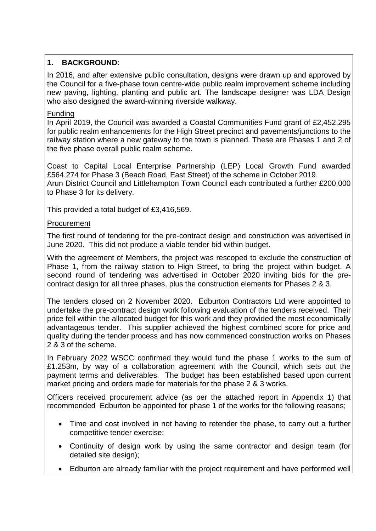# **1. BACKGROUND:**

In 2016, and after extensive public consultation, designs were drawn up and approved by the Council for a five-phase town centre-wide public realm improvement scheme including new paving, lighting, planting and public art. The landscape designer was LDA Design who also designed the award-winning riverside walkway.

#### Funding

In April 2019, the Council was awarded a Coastal Communities Fund grant of £2,452,295 for public realm enhancements for the High Street precinct and pavements/junctions to the railway station where a new gateway to the town is planned. These are Phases 1 and 2 of the five phase overall public realm scheme.

Coast to Capital Local Enterprise Partnership (LEP) Local Growth Fund awarded £564,274 for Phase 3 (Beach Road, East Street) of the scheme in October 2019. Arun District Council and Littlehampton Town Council each contributed a further £200,000 to Phase 3 for its delivery.

This provided a total budget of £3,416,569.

#### Procurement

The first round of tendering for the pre-contract design and construction was advertised in June 2020. This did not produce a viable tender bid within budget.

With the agreement of Members, the project was rescoped to exclude the construction of Phase 1, from the railway station to High Street, to bring the project within budget. A second round of tendering was advertised in October 2020 inviting bids for the precontract design for all three phases, plus the construction elements for Phases 2 & 3.

The tenders closed on 2 November 2020. Edburton Contractors Ltd were appointed to undertake the pre-contract design work following evaluation of the tenders received. Their price fell within the allocated budget for this work and they provided the most economically advantageous tender. This supplier achieved the highest combined score for price and quality during the tender process and has now commenced construction works on Phases 2 & 3 of the scheme.

In February 2022 WSCC confirmed they would fund the phase 1 works to the sum of £1.253m, by way of a collaboration agreement with the Council, which sets out the payment terms and deliverables. The budget has been established based upon current market pricing and orders made for materials for the phase 2 & 3 works.

Officers received procurement advice (as per the attached report in Appendix 1) that recommended Edburton be appointed for phase 1 of the works for the following reasons;

- Time and cost involved in not having to retender the phase, to carry out a further competitive tender exercise;
- Continuity of design work by using the same contractor and design team (for detailed site design);
- Edburton are already familiar with the project requirement and have performed well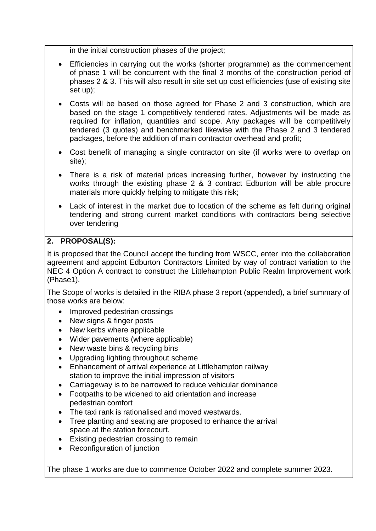in the initial construction phases of the project;

- Efficiencies in carrying out the works (shorter programme) as the commencement of phase 1 will be concurrent with the final 3 months of the construction period of phases 2 & 3. This will also result in site set up cost efficiencies (use of existing site set up);
- Costs will be based on those agreed for Phase 2 and 3 construction, which are based on the stage 1 competitively tendered rates. Adjustments will be made as required for inflation, quantities and scope. Any packages will be competitively tendered (3 quotes) and benchmarked likewise with the Phase 2 and 3 tendered packages, before the addition of main contractor overhead and profit;
- Cost benefit of managing a single contractor on site (if works were to overlap on site);
- There is a risk of material prices increasing further, however by instructing the works through the existing phase 2 & 3 contract Edburton will be able procure materials more quickly helping to mitigate this risk;
- Lack of interest in the market due to location of the scheme as felt during original tendering and strong current market conditions with contractors being selective over tendering

## **2. PROPOSAL(S):**

It is proposed that the Council accept the funding from WSCC, enter into the collaboration agreement and appoint Edburton Contractors Limited by way of contract variation to the NEC 4 Option A contract to construct the Littlehampton Public Realm Improvement work (Phase1).

The Scope of works is detailed in the RIBA phase 3 report (appended), a brief summary of those works are below:

- Improved pedestrian crossings
- New signs & finger posts
- New kerbs where applicable
- Wider pavements (where applicable)
- New waste bins & recycling bins
- Upgrading lighting throughout scheme
- Enhancement of arrival experience at Littlehampton railway station to improve the initial impression of visitors
- Carriageway is to be narrowed to reduce vehicular dominance
- Footpaths to be widened to aid orientation and increase pedestrian comfort
- The taxi rank is rationalised and moved westwards.
- Tree planting and seating are proposed to enhance the arrival space at the station forecourt.
- Existing pedestrian crossing to remain
- Reconfiguration of junction

The phase 1 works are due to commence October 2022 and complete summer 2023.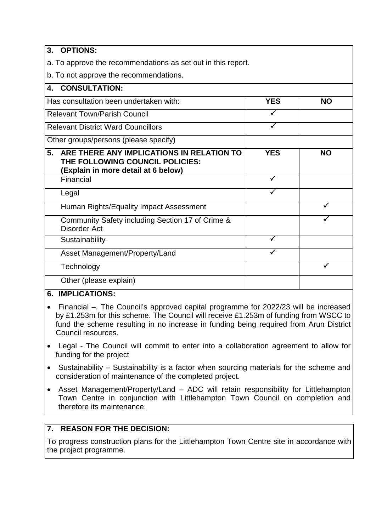#### **3. OPTIONS:**

a. To approve the recommendations as set out in this report.

b. To not approve the recommendations.

| <b>CONSULTATION:</b><br>4.                                                                                                |            |           |
|---------------------------------------------------------------------------------------------------------------------------|------------|-----------|
| Has consultation been undertaken with:                                                                                    | <b>YES</b> | <b>NO</b> |
| <b>Relevant Town/Parish Council</b>                                                                                       |            |           |
| <b>Relevant District Ward Councillors</b>                                                                                 |            |           |
| Other groups/persons (please specify)                                                                                     |            |           |
| 5.<br>ARE THERE ANY IMPLICATIONS IN RELATION TO<br>THE FOLLOWING COUNCIL POLICIES:<br>(Explain in more detail at 6 below) | <b>YES</b> | <b>NO</b> |
| Financial                                                                                                                 | ✓          |           |
| Legal                                                                                                                     |            |           |
| Human Rights/Equality Impact Assessment                                                                                   |            |           |
| Community Safety including Section 17 of Crime &<br>Disorder Act                                                          |            |           |
| Sustainability                                                                                                            |            |           |
| Asset Management/Property/Land                                                                                            |            |           |
| Technology                                                                                                                |            | ✓         |
| Other (please explain)                                                                                                    |            |           |
|                                                                                                                           |            |           |

#### **6. IMPLICATIONS:**

- Financial –. The Council's approved capital programme for 2022/23 will be increased by £1.253m for this scheme. The Council will receive £1.253m of funding from WSCC to fund the scheme resulting in no increase in funding being required from Arun District Council resources.
- Legal The Council will commit to enter into a collaboration agreement to allow for funding for the project
- Sustainability Sustainability is a factor when sourcing materials for the scheme and consideration of maintenance of the completed project.
- Asset Management/Property/Land ADC will retain responsibility for Littlehampton Town Centre in conjunction with Littlehampton Town Council on completion and therefore its maintenance.

# **7. REASON FOR THE DECISION:**

To progress construction plans for the Littlehampton Town Centre site in accordance with the project programme.